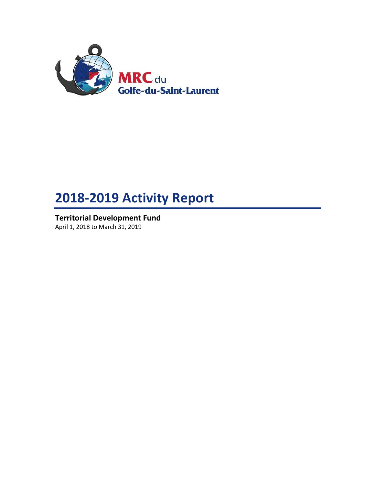

# **2018-2019 Activity Report**

**Territorial Development Fund** April 1, 2018 to March 31, 2019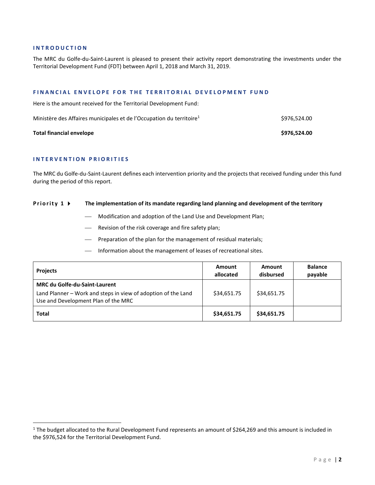#### **I N T R O D U C T I O N**

The MRC du Golfe-du-Saint-Laurent is pleased to present their activity report demonstrating the investments under the Territorial Development Fund (FDT) between April 1, 2018 and March 31, 2019.

#### **F I N A N C I A L E N V E L O P E F O R T H E T E R R I T O R I A L D E V E L O P M E N T F U N D**

Here is the amount received for the Territorial Development Fund:

| Ministère des Affaires municipales et de l'Occupation du territoire <sup>1</sup> | \$976,524.00 |
|----------------------------------------------------------------------------------|--------------|
| Total financial envelope                                                         | \$976.524.00 |

#### **I N T E R V E N T I O N P R I O R I T I E S**

l

The MRC du Golfe-du-Saint-Laurent defines each intervention priority and the projects that received funding under this fund during the period of this report.

#### **Priority 1**  $\rightarrow$  The implementation of its mandate regarding land planning and development of the territory

- Modification and adoption of the Land Use and Development Plan;
- Revision of the risk coverage and fire safety plan;
- Preparation of the plan for the management of residual materials;
- Information about the management of leases of recreational sites.

| <b>Projects</b>                                                                                                                              | Amount<br>allocated | Amount<br>disbursed | <b>Balance</b><br>payable |
|----------------------------------------------------------------------------------------------------------------------------------------------|---------------------|---------------------|---------------------------|
| <b>MRC du Golfe-du-Saint-Laurent</b><br>Land Planner - Work and steps in view of adoption of the Land<br>Use and Development Plan of the MRC | \$34,651.75         | \$34,651.75         |                           |
| <b>Total</b>                                                                                                                                 | \$34,651.75         | \$34,651.75         |                           |

<sup>&</sup>lt;sup>1</sup> The budget allocated to the Rural Development Fund represents an amount of \$264,269 and this amount is included in the \$976,524 for the Territorial Development Fund.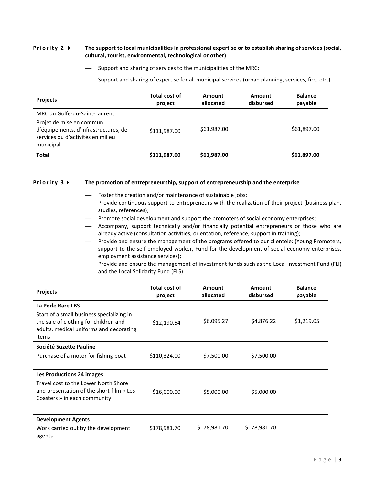## **Priority 2 •** The support to local municipalities in professional expertise or to establish sharing of services (social, **cultural, tourist, environmental, technological or other)**

- $-$  Support and sharing of services to the municipalities of the MRC;
- Support and sharing of expertise for all municipal services (urban planning, services, fire, etc.).

| <b>Projects</b>                                                                                                                                     | Total cost of<br>project | Amount<br>allocated | Amount<br>disbursed | <b>Balance</b><br>payable |
|-----------------------------------------------------------------------------------------------------------------------------------------------------|--------------------------|---------------------|---------------------|---------------------------|
| MRC du Golfe-du-Saint-Laurent<br>Projet de mise en commun<br>d'équipements, d'infrastructures, de<br>services ou d'activités en milieu<br>municipal | \$111,987.00             | \$61,987.00         |                     | \$61,897.00               |
| <b>Total</b>                                                                                                                                        | \$111,987.00             | \$61,987.00         |                     | \$61,897.00               |

#### **Priority 3 FI** The promotion of entrepreneurship, support of entrepreneurship and the enterprise

- Foster the creation and/or maintenance of sustainable jobs;
- Provide continuous support to entrepreneurs with the realization of their project (business plan, studies, references);
- Promote social development and support the promoters of social economy enterprises;
- Accompany, support technically and/or financially potential entrepreneurs or those who are already active (consultation activities, orientation, reference, support in training);
- Provide and ensure the management of the programs offered to our clientele: (Young Promoters, support to the self-employed worker, Fund for the development of social economy enterprises, employment assistance services);
- Provide and ensure the management of investment funds such as the Local Investment Fund (FLI) and the Local Solidarity Fund (FLS).

| <b>Projects</b>                                                                                                                                             | Total cost of<br>project | Amount<br>allocated | Amount<br>disbursed | <b>Balance</b><br>payable |
|-------------------------------------------------------------------------------------------------------------------------------------------------------------|--------------------------|---------------------|---------------------|---------------------------|
| La Perle Rare LBS<br>Start of a small business specializing in<br>the sale of clothing for children and<br>adults, medical uniforms and decorating<br>items | \$12,190.54              | \$6,095.27          | \$4,876.22          | \$1,219.05                |
| Société Suzette Pauline<br>Purchase of a motor for fishing boat                                                                                             | \$110,324.00             | \$7,500.00          | \$7,500.00          |                           |
| <b>Les Productions 24 images</b><br>Travel cost to the Lower North Shore<br>and presentation of the short-film « Les<br>Coasters » in each community        | \$16,000.00              | \$5,000.00          | \$5,000.00          |                           |
| <b>Development Agents</b><br>Work carried out by the development<br>agents                                                                                  | \$178,981.70             | \$178,981.70        | \$178,981.70        |                           |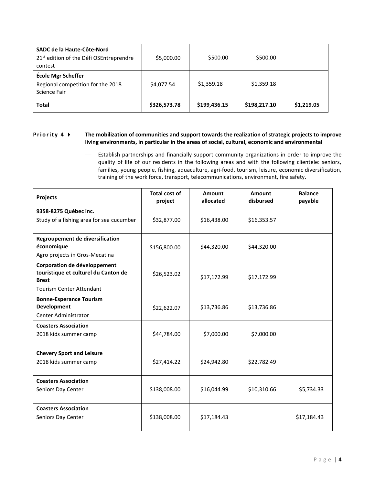| SADC de la Haute-Côte-Nord<br>21 <sup>st</sup> edition of the Défi OSEntreprendre<br>contest | \$5,000.00   | \$500.00     | \$500.00     |            |
|----------------------------------------------------------------------------------------------|--------------|--------------|--------------|------------|
| École Mgr Scheffer<br>Regional competition for the 2018<br>Science Fair                      | \$4,077.54   | \$1,359.18   | \$1,359.18   |            |
| <b>Total</b>                                                                                 | \$326,573.78 | \$199,436.15 | \$198,217.10 | \$1,219.05 |

## **Priority 4**  $\blacktriangleright$  The mobilization of communities and support towards the realization of strategic projects to improve **living environments, in particular in the areas of social, cultural, economic and environmental**

 Establish partnerships and financially support community organizations in order to improve the quality of life of our residents in the following areas and with the following clientele: seniors, families, young people, fishing, aquaculture, agri-food, tourism, leisure, economic diversification, training of the work force, transport, telecommunications, environment, fire safety.

| <b>Projects</b>                                                                      | <b>Total cost of</b><br>project | Amount<br>allocated | <b>Amount</b><br>disbursed | <b>Balance</b><br>payable |
|--------------------------------------------------------------------------------------|---------------------------------|---------------------|----------------------------|---------------------------|
| 9358-8275 Québec inc.                                                                |                                 |                     |                            |                           |
| Study of a fishing area for sea cucumber                                             | \$32,877.00                     | \$16,438.00         | \$16,353.57                |                           |
|                                                                                      |                                 |                     |                            |                           |
| Regroupement de diversification<br>économique                                        | \$156,800.00                    | \$44,320.00         | \$44,320.00                |                           |
| Agro projects in Gros-Mecatina                                                       |                                 |                     |                            |                           |
| Corporation de développement<br>touristique et culturel du Canton de<br><b>Brest</b> | \$26,523.02                     | \$17,172.99         | \$17,172.99                |                           |
| <b>Tourism Center Attendant</b>                                                      |                                 |                     |                            |                           |
| <b>Bonne-Esperance Tourism</b><br><b>Development</b>                                 | \$22,622.07                     | \$13,736.86         | \$13,736.86                |                           |
| <b>Center Administrator</b>                                                          |                                 |                     |                            |                           |
| <b>Coasters Association</b><br>2018 kids summer camp                                 | \$44,784.00                     | \$7,000.00          | \$7,000.00                 |                           |
| <b>Chevery Sport and Leisure</b>                                                     |                                 |                     |                            |                           |
| 2018 kids summer camp                                                                | \$27,414.22                     | \$24,942.80         | \$22,782.49                |                           |
| <b>Coasters Association</b>                                                          |                                 |                     |                            |                           |
| Seniors Day Center                                                                   | \$138,008.00                    | \$16,044.99         | \$10,310.66                | \$5,734.33                |
| <b>Coasters Association</b>                                                          |                                 |                     |                            |                           |
| Seniors Day Center                                                                   | \$138,008.00                    | \$17,184.43         |                            | \$17,184.43               |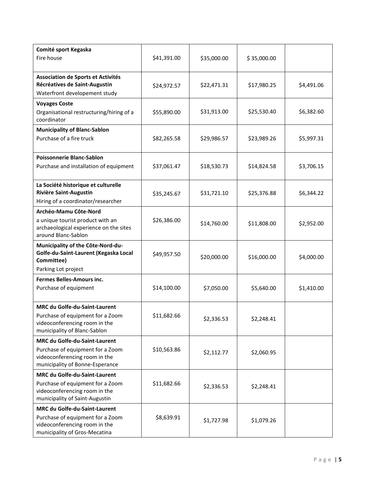| Comité sport Kegaska<br>Fire house                                                                                                          | \$41,391.00 | \$35,000.00 | \$35,000.00 |            |
|---------------------------------------------------------------------------------------------------------------------------------------------|-------------|-------------|-------------|------------|
| Association de Sports et Activités<br>Récréatives de Saint-Augustin<br>Waterfront developement study                                        | \$24,972.57 | \$22,471.31 | \$17,980.25 | \$4,491.06 |
| <b>Voyages Coste</b><br>Organisational restructuring/hiring of a<br>coordinator                                                             | \$55,890.00 | \$31,913.00 | \$25,530.40 | \$6,382.60 |
| <b>Municipality of Blanc-Sablon</b><br>Purchase of a fire truck                                                                             | \$82,265.58 | \$29,986.57 | \$23,989.26 | \$5,997.31 |
| <b>Poissonnerie Blanc-Sablon</b><br>Purchase and installation of equipment                                                                  | \$37,061.47 | \$18,530.73 | \$14,824.58 | \$3,706.15 |
| La Société historique et culturelle<br><b>Rivière Saint-Augustin</b><br>Hiring of a coordinator/researcher                                  | \$35,245.67 | \$31,721.10 | \$25,376.88 | \$6,344.22 |
| Archéo-Mamu Côte-Nord<br>a unique tourist product with an<br>archaeological experience on the sites<br>around Blanc-Sablon                  | \$26,386.00 | \$14,760.00 | \$11,808.00 | \$2,952.00 |
| Municipality of the Côte-Nord-du-<br>Golfe-du-Saint-Laurent (Kegaska Local<br>Committee)<br>Parking Lot project                             | \$49,957.50 | \$20,000.00 | \$16,000.00 | \$4,000.00 |
| <b>Fermes Belles-Amours inc.</b><br>Purchase of equipment                                                                                   | \$14,100.00 | \$7,050.00  | \$5,640.00  | \$1,410.00 |
| <b>MRC du Golfe-du-Saint-Laurent</b><br>Purchase of equipment for a Zoom<br>videoconferencing room in the<br>municipality of Blanc-Sablon   | \$11,682.66 | \$2,336.53  | \$2,248.41  |            |
| MRC du Golfe-du-Saint-Laurent<br>Purchase of equipment for a Zoom<br>videoconferencing room in the<br>municipality of Bonne-Esperance       | \$10,563.86 | \$2,112.77  | \$2,060.95  |            |
| <b>MRC du Golfe-du-Saint-Laurent</b><br>Purchase of equipment for a Zoom<br>videoconferencing room in the<br>municipality of Saint-Augustin | \$11,682.66 | \$2,336.53  | \$2,248.41  |            |
| <b>MRC du Golfe-du-Saint-Laurent</b><br>Purchase of equipment for a Zoom<br>videoconferencing room in the<br>municipality of Gros-Mecatina  | \$8,639.91  | \$1,727.98  | \$1,079.26  |            |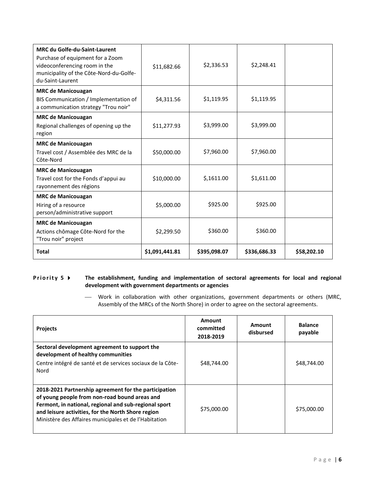| <b>MRC du Golfe-du-Saint-Laurent</b><br>Purchase of equipment for a Zoom<br>videoconferencing room in the<br>municipality of the Côte-Nord-du-Golfe-<br>du-Saint-Laurent | \$11,682.66    | \$2,336.53   | \$2,248.41   |             |
|--------------------------------------------------------------------------------------------------------------------------------------------------------------------------|----------------|--------------|--------------|-------------|
| <b>MRC de Manicouagan</b><br>BIS Communication / Implementation of<br>a communication strategy "Trou noir"                                                               | \$4,311.56     | \$1,119.95   | \$1,119.95   |             |
| <b>MRC de Manicouagan</b><br>Regional challenges of opening up the<br>region                                                                                             | \$11,277.93    | \$3,999.00   | \$3,999.00   |             |
| <b>MRC de Manicouagan</b><br>Travel cost / Assemblée des MRC de la<br>Côte-Nord                                                                                          | \$50,000.00    | \$7,960.00   | \$7,960.00   |             |
| <b>MRC de Manicouagan</b><br>Travel cost for the Fonds d'appui au<br>rayonnement des régions                                                                             | \$10,000.00    | \$,1611.00   | \$1,611.00   |             |
| <b>MRC de Manicouagan</b><br>Hiring of a resource<br>person/administrative support                                                                                       | \$5,000.00     | \$925.00     | \$925.00     |             |
| <b>MRC de Manicouagan</b><br>Actions chômage Côte-Nord for the<br>"Trou noir" project                                                                                    | \$2,299.50     | \$360.00     | \$360.00     |             |
| <b>Total</b>                                                                                                                                                             | \$1,091,441.81 | \$395,098.07 | \$336,686.33 | \$58,202.10 |

## **Priority 5**  $\triangleright$  The establishment, funding and implementation of sectoral agreements for local and regional **development with government departments or agencies**

 Work in collaboration with other organizations, government departments or others (MRC, Assembly of the MRCs of the North Shore) in order to agree on the sectoral agreements.

| <b>Projects</b>                                                                                                                                                                                                                                                                | Amount<br>committed<br>2018-2019 | Amount<br>disbursed | <b>Balance</b><br>payable |
|--------------------------------------------------------------------------------------------------------------------------------------------------------------------------------------------------------------------------------------------------------------------------------|----------------------------------|---------------------|---------------------------|
| Sectoral development agreement to support the<br>development of healthy communities<br>Centre intégré de santé et de services sociaux de la Côte-<br>Nord                                                                                                                      | \$48,744.00                      |                     | \$48,744.00               |
| 2018-2021 Partnership agreement for the participation<br>of young people from non-road bound areas and<br>Fermont, in national, regional and sub-regional sport<br>and leisure activities, for the North Shore region<br>Ministère des Affaires municipales et de l'Habitation | \$75,000.00                      |                     | \$75,000.00               |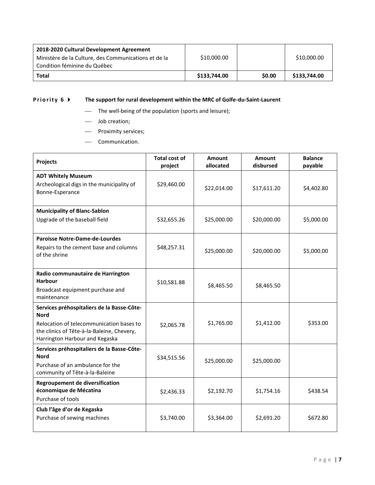| 2018-2020 Cultural Development Agreement<br>Ministère de la Culture, des Communications et de la<br>Condition féminine du Québec | \$10,000.00  |        | \$10,000.00  |
|----------------------------------------------------------------------------------------------------------------------------------|--------------|--------|--------------|
| <b>Total</b>                                                                                                                     | \$133,744.00 | \$0.00 | \$133,744.00 |

# **Priority 6**  $\blacktriangleright$  The support for rural development within the MRC of Golfe-du-Saint-Laurent

- The well-being of the population (sports and leisure);
- Job creation;
- Proximity services;
- Communication.

| Projects                                                                                                                                                                       | Total cost of<br>project | Amount<br>allocated | <b>Amount</b><br>disbursed | <b>Balance</b><br>payable |
|--------------------------------------------------------------------------------------------------------------------------------------------------------------------------------|--------------------------|---------------------|----------------------------|---------------------------|
| <b>ADT Whitely Museum</b><br>Archeological digs in the municipality of<br>Bonne-Esperance                                                                                      | \$29,460.00              | \$22,014.00         | \$17,611.20                | \$4,402.80                |
| <b>Municipality of Blanc-Sablon</b>                                                                                                                                            |                          |                     |                            |                           |
| Upgrade of the baseball field                                                                                                                                                  | \$32,655.26              | \$25,000.00         | \$20,000.00                | \$5,000.00                |
| <b>Paroisse Notre-Dame-de-Lourdes</b><br>Repairs to the cement base and columns<br>of the shrine                                                                               | \$48,257.31              | \$25,000.00         | \$20,000.00                | \$5,000.00                |
| Radio communautaire de Harrington<br><b>Harbour</b><br>Broadcast equipment purchase and<br>maintenance                                                                         | \$10,581.88              | \$8,465.50          | \$8,465.50                 |                           |
| Services préhospitaliers de la Basse-Côte-<br>Nord<br>Relocation of telecommunication bases to<br>the clinics of Tête-à-la-Baleine, Chevery,<br>Harrington Harbour and Kegaska | \$2,065.78               | \$1,765.00          | \$1,412.00                 | \$353.00                  |
| Services préhospitaliers de la Basse-Côte-<br><b>Nord</b><br>Purchase of an ambulance for the<br>community of Tête-à-la-Baleine                                                | \$34,515.56              | \$25,000.00         | \$25,000.00                |                           |
| <b>Regroupement de diversification</b><br>économique de Mécatina<br>Purchase of tools                                                                                          | \$2,436.33               | \$2,192.70          | \$1,754.16                 | \$438.54                  |
| Club l'âge d'or de Kegaska<br>Purchase of sewing machines                                                                                                                      | \$3,740.00               | \$3,364.00          | \$2,691.20                 | \$672.80                  |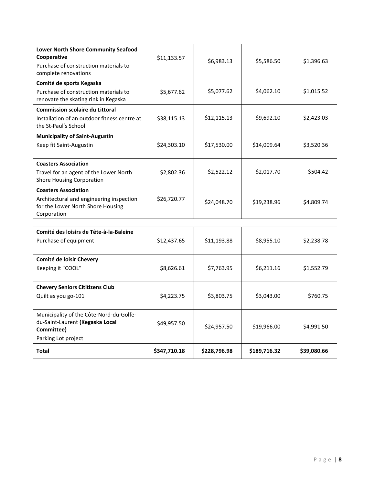| <b>Lower North Shore Community Seafood</b><br>Cooperative<br>Purchase of construction materials to<br>complete renovations  | \$11,133.57 | \$6,983.13  | \$5,586.50  | \$1,396.63 |
|-----------------------------------------------------------------------------------------------------------------------------|-------------|-------------|-------------|------------|
| Comité de sports Kegaska<br>Purchase of construction materials to<br>renovate the skating rink in Kegaska                   | \$5,677.62  | \$5,077.62  | \$4,062.10  | \$1,015.52 |
| <b>Commission scolaire du Littoral</b><br>Installation of an outdoor fitness centre at<br>the St-Paul's School              | \$38,115.13 | \$12,115.13 | \$9,692.10  | \$2,423.03 |
| <b>Municipality of Saint-Augustin</b><br>Keep fit Saint-Augustin                                                            | \$24,303.10 | \$17,530.00 | \$14,009.64 | \$3,520.36 |
| <b>Coasters Association</b><br>Travel for an agent of the Lower North<br><b>Shore Housing Corporation</b>                   | \$2,802.36  | \$2,522.12  | \$2,017.70  | \$504.42   |
| <b>Coasters Association</b><br>Architectural and engineering inspection<br>for the Lower North Shore Housing<br>Corporation | \$26,720.77 | \$24,048.70 | \$19,238.96 | \$4,809.74 |

| Comité des loisirs de Tête-à-la-Baleine<br>Purchase of equipment                                                | \$12,437.65  | \$11,193.88  | \$8,955.10   | \$2,238.78  |
|-----------------------------------------------------------------------------------------------------------------|--------------|--------------|--------------|-------------|
| Comité de loisir Chevery<br>Keeping it "COOL"                                                                   | \$8,626.61   | \$7,763.95   | \$6,211.16   | \$1,552.79  |
| <b>Chevery Seniors Cititizens Club</b><br>Quilt as you go-101                                                   | \$4,223.75   | \$3,803.75   | \$3,043.00   | \$760.75    |
| Municipality of the Côte-Nord-du-Golfe-<br>du-Saint-Laurent (Kegaska Local<br>Committee)<br>Parking Lot project | \$49,957.50  | \$24,957.50  | \$19,966.00  | \$4,991.50  |
| <b>Total</b>                                                                                                    | \$347,710.18 | \$228,796.98 | \$189,716.32 | \$39,080.66 |